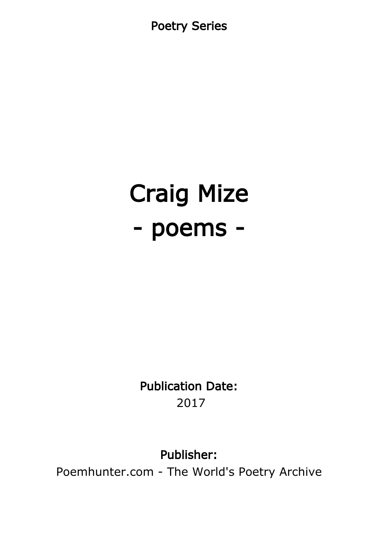Poetry Series

# Craig Mize - poems -

Publication Date: 2017

#### Publisher:

Poemhunter.com - The World's Poetry Archive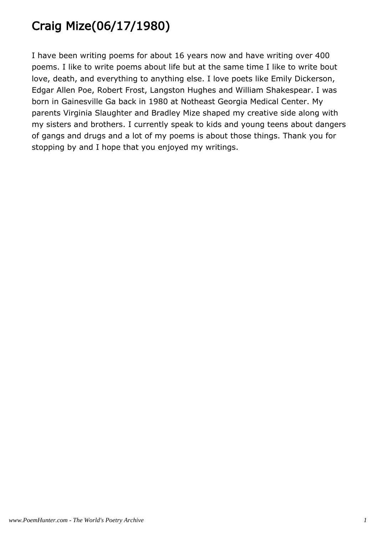# Craig Mize(06/17/1980)

I have been writing poems for about 16 years now and have writing over 400 poems. I like to write poems about life but at the same time I like to write bout love, death, and everything to anything else. I love poets like Emily Dickerson, Edgar Allen Poe, Robert Frost, Langston Hughes and William Shakespear. I was born in Gainesville Ga back in 1980 at Notheast Georgia Medical Center. My parents Virginia Slaughter and Bradley Mize shaped my creative side along with my sisters and brothers. I currently speak to kids and young teens about dangers of gangs and drugs and a lot of my poems is about those things. Thank you for stopping by and I hope that you enjoyed my writings.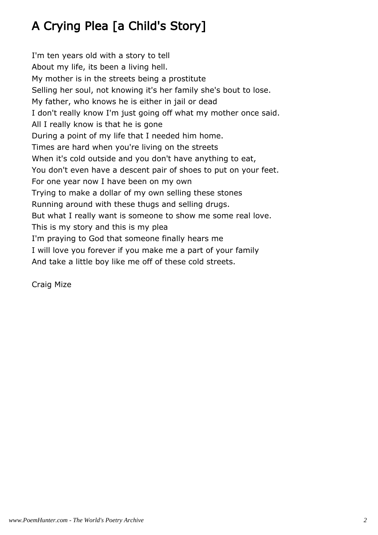# A Crying Plea [a Child's Story]

I'm ten years old with a story to tell About my life, its been a living hell. My mother is in the streets being a prostitute Selling her soul, not knowing it's her family she's bout to lose. My father, who knows he is either in jail or dead I don't really know I'm just going off what my mother once said. All I really know is that he is gone During a point of my life that I needed him home. Times are hard when you're living on the streets When it's cold outside and you don't have anything to eat, You don't even have a descent pair of shoes to put on your feet. For one year now I have been on my own Trying to make a dollar of my own selling these stones Running around with these thugs and selling drugs. But what I really want is someone to show me some real love. This is my story and this is my plea I'm praying to God that someone finally hears me I will love you forever if you make me a part of your family And take a little boy like me off of these cold streets.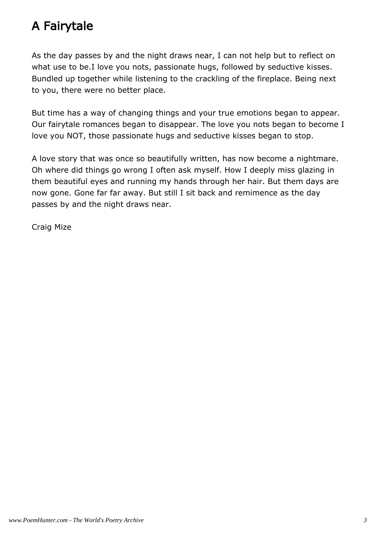## A Fairytale

As the day passes by and the night draws near, I can not help but to reflect on what use to be.I love you nots, passionate hugs, followed by seductive kisses. Bundled up together while listening to the crackling of the fireplace. Being next to you, there were no better place.

But time has a way of changing things and your true emotions began to appear. Our fairytale romances began to disappear. The love you nots began to become I love you NOT, those passionate hugs and seductive kisses began to stop.

A love story that was once so beautifully written, has now become a nightmare. Oh where did things go wrong I often ask myself. How I deeply miss glazing in them beautiful eyes and running my hands through her hair. But them days are now gone. Gone far far away. But still I sit back and remimence as the day passes by and the night draws near.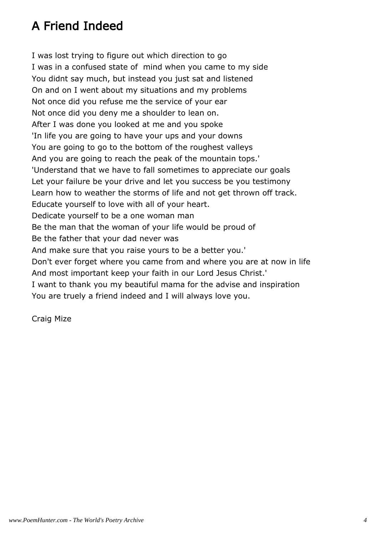## A Friend Indeed

I was lost trying to figure out which direction to go I was in a confused state of mind when you came to my side You didnt say much, but instead you just sat and listened On and on I went about my situations and my problems Not once did you refuse me the service of your ear Not once did you deny me a shoulder to lean on. After I was done you looked at me and you spoke 'In life you are going to have your ups and your downs You are going to go to the bottom of the roughest valleys And you are going to reach the peak of the mountain tops.' 'Understand that we have to fall sometimes to appreciate our goals Let your failure be your drive and let you success be you testimony Learn how to weather the storms of life and not get thrown off track. Educate yourself to love with all of your heart. Dedicate yourself to be a one woman man Be the man that the woman of your life would be proud of Be the father that your dad never was And make sure that you raise yours to be a better you.' Don't ever forget where you came from and where you are at now in life And most important keep your faith in our Lord Jesus Christ.' I want to thank you my beautiful mama for the advise and inspiration You are truely a friend indeed and I will always love you.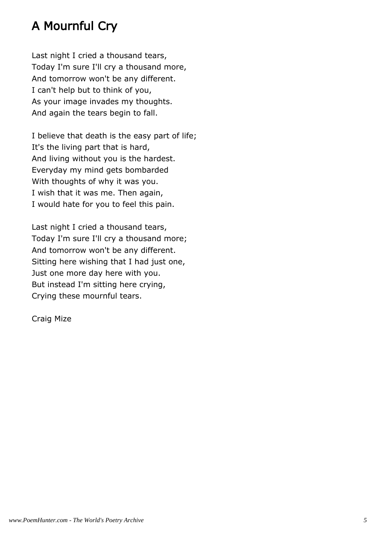## A Mournful Cry

Last night I cried a thousand tears, Today I'm sure I'll cry a thousand more, And tomorrow won't be any different. I can't help but to think of you, As your image invades my thoughts. And again the tears begin to fall.

I believe that death is the easy part of life; It's the living part that is hard, And living without you is the hardest. Everyday my mind gets bombarded With thoughts of why it was you. I wish that it was me. Then again, I would hate for you to feel this pain.

Last night I cried a thousand tears, Today I'm sure I'll cry a thousand more; And tomorrow won't be any different. Sitting here wishing that I had just one, Just one more day here with you. But instead I'm sitting here crying, Crying these mournful tears.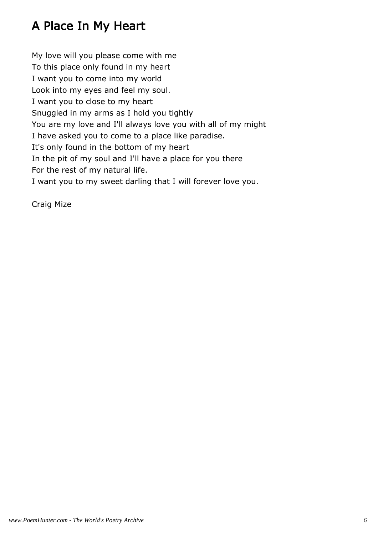## A Place In My Heart

My love will you please come with me To this place only found in my heart I want you to come into my world Look into my eyes and feel my soul. I want you to close to my heart Snuggled in my arms as I hold you tightly You are my love and I'll always love you with all of my might I have asked you to come to a place like paradise. It's only found in the bottom of my heart In the pit of my soul and I'll have a place for you there For the rest of my natural life. I want you to my sweet darling that I will forever love you.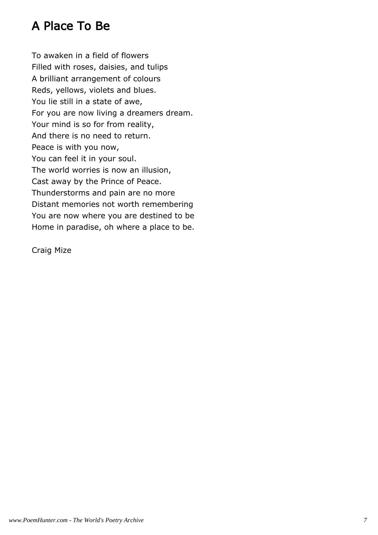#### A Place To Be

To awaken in a field of flowers Filled with roses, daisies, and tulips A brilliant arrangement of colours Reds, yellows, violets and blues. You lie still in a state of awe, For you are now living a dreamers dream. Your mind is so for from reality, And there is no need to return. Peace is with you now, You can feel it in your soul. The world worries is now an illusion, Cast away by the Prince of Peace. Thunderstorms and pain are no more Distant memories not worth remembering You are now where you are destined to be Home in paradise, oh where a place to be.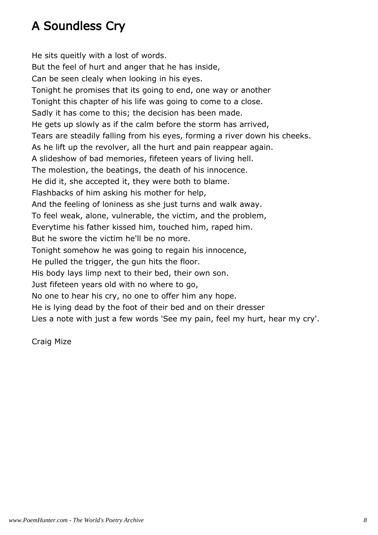## A Soundless Cry

He sits queitly with a lost of words. But the feel of hurt and anger that he has inside, Can be seen clealy when looking in his eyes. Tonight he promises that its going to end, one way or another Tonight this chapter of his life was going to come to a close. Sadly it has come to this; the decision has been made. He gets up slowly as if the calm before the storm has arrived, Tears are steadily falling from his eyes, forming a river down his cheeks. As he lift up the revolver, all the hurt and pain reappear again. A slideshow of bad memories, fifeteen years of living hell. The molestion, the beatings, the death of his innocence. He did it, she accepted it, they were both to blame. Flashbacks of him asking his mother for help, And the feeling of loniness as she just turns and walk away. To feel weak, alone, vulnerable, the victim, and the problem, Everytime his father kissed him, touched him, raped him. But he swore the victim he'll be no more. Tonight somehow he was going to regain his innocence, He pulled the trigger, the gun hits the floor. His body lays limp next to their bed, their own son. Just fifeteen years old with no where to go, No one to hear his cry, no one to offer him any hope. He is lying dead by the foot of their bed and on their dresser Lies a note with just a few words 'See my pain, feel my hurt, hear my cry'.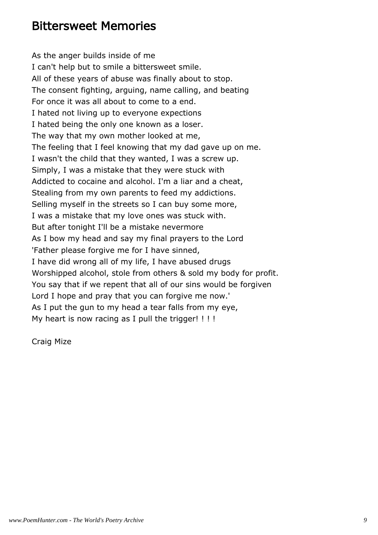#### Bittersweet Memories

As the anger builds inside of me I can't help but to smile a bittersweet smile. All of these years of abuse was finally about to stop. The consent fighting, arguing, name calling, and beating For once it was all about to come to a end. I hated not living up to everyone expections I hated being the only one known as a loser. The way that my own mother looked at me, The feeling that I feel knowing that my dad gave up on me. I wasn't the child that they wanted, I was a screw up. Simply, I was a mistake that they were stuck with Addicted to cocaine and alcohol. I'm a liar and a cheat, Stealing from my own parents to feed my addictions. Selling myself in the streets so I can buy some more, I was a mistake that my love ones was stuck with. But after tonight I'll be a mistake nevermore As I bow my head and say my final prayers to the Lord 'Father please forgive me for I have sinned, I have did wrong all of my life, I have abused drugs Worshipped alcohol, stole from others & sold my body for profit. You say that if we repent that all of our sins would be forgiven Lord I hope and pray that you can forgive me now.' As I put the gun to my head a tear falls from my eye, My heart is now racing as I pull the trigger! !!!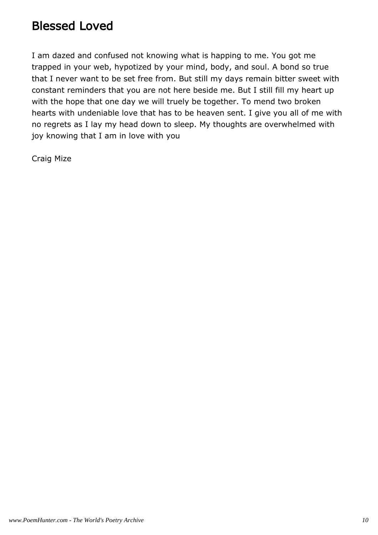#### Blessed Loved

I am dazed and confused not knowing what is happing to me. You got me trapped in your web, hypotized by your mind, body, and soul. A bond so true that I never want to be set free from. But still my days remain bitter sweet with constant reminders that you are not here beside me. But I still fill my heart up with the hope that one day we will truely be together. To mend two broken hearts with undeniable love that has to be heaven sent. I give you all of me with no regrets as I lay my head down to sleep. My thoughts are overwhelmed with joy knowing that I am in love with you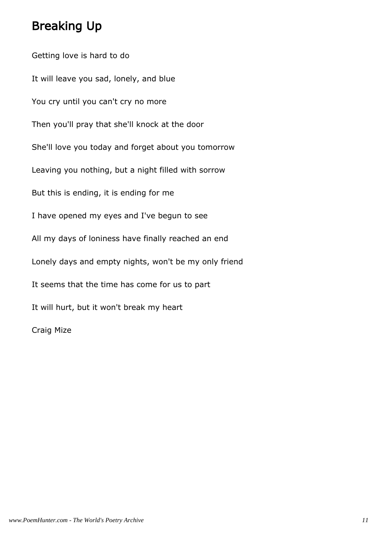#### Breaking Up

Getting love is hard to do It will leave you sad, lonely, and blue You cry until you can't cry no more Then you'll pray that she'll knock at the door She'll love you today and forget about you tomorrow Leaving you nothing, but a night filled with sorrow But this is ending, it is ending for me I have opened my eyes and I've begun to see All my days of loniness have finally reached an end Lonely days and empty nights, won't be my only friend It seems that the time has come for us to part It will hurt, but it won't break my heart Craig Mize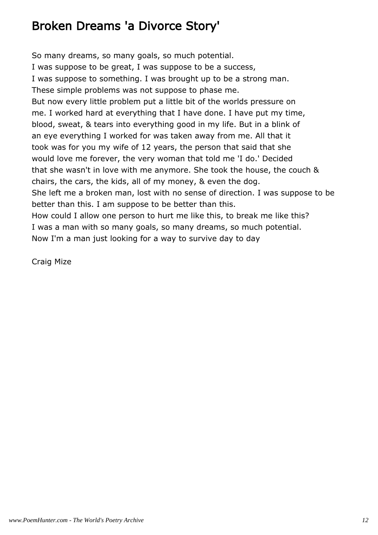#### Broken Dreams 'a Divorce Story'

So many dreams, so many goals, so much potential. I was suppose to be great, I was suppose to be a success, I was suppose to something. I was brought up to be a strong man. These simple problems was not suppose to phase me. But now every little problem put a little bit of the worlds pressure on me. I worked hard at everything that I have done. I have put my time, blood, sweat, & tears into everything good in my life. But in a blink of an eye everything I worked for was taken away from me. All that it took was for you my wife of 12 years, the person that said that she would love me forever, the very woman that told me 'I do.' Decided that she wasn't in love with me anymore. She took the house, the couch & chairs, the cars, the kids, all of my money, & even the dog. She left me a broken man, lost with no sense of direction. I was suppose to be better than this. I am suppose to be better than this. How could I allow one person to hurt me like this, to break me like this? I was a man with so many goals, so many dreams, so much potential. Now I'm a man just looking for a way to survive day to day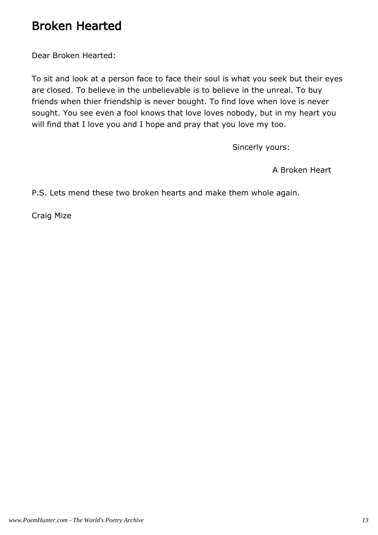#### Broken Hearted

Dear Broken Hearted:

To sit and look at a person face to face their soul is what you seek but their eyes are closed. To believe in the unbelievable is to believe in the unreal. To buy friends when thier friendship is never bought. To find love when love is never sought. You see even a fool knows that love loves nobody, but in my heart you will find that I love you and I hope and pray that you love my too.

Sincerly yours:

A Broken Heart

P.S. Lets mend these two broken hearts and make them whole again.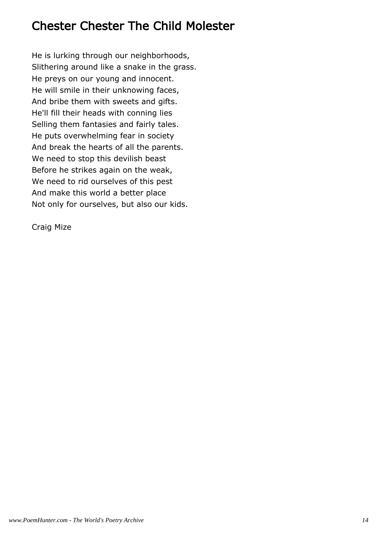#### Chester Chester The Child Molester

He is lurking through our neighborhoods, Slithering around like a snake in the grass. He preys on our young and innocent. He will smile in their unknowing faces, And bribe them with sweets and gifts. He'll fill their heads with conning lies Selling them fantasies and fairly tales. He puts overwhelming fear in society And break the hearts of all the parents. We need to stop this devilish beast Before he strikes again on the weak, We need to rid ourselves of this pest And make this world a better place Not only for ourselves, but also our kids.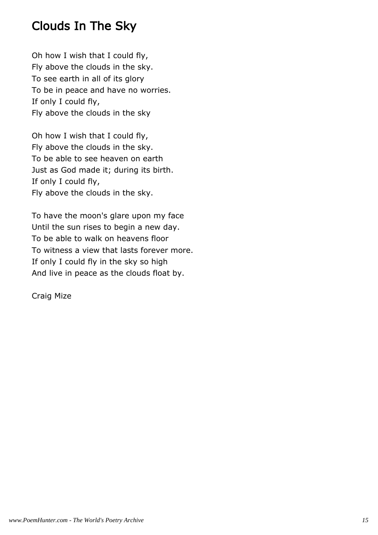#### Clouds In The Sky

Oh how I wish that I could fly, Fly above the clouds in the sky. To see earth in all of its glory To be in peace and have no worries. If only I could fly, Fly above the clouds in the sky

Oh how I wish that I could fly, Fly above the clouds in the sky. To be able to see heaven on earth Just as God made it; during its birth. If only I could fly, Fly above the clouds in the sky.

To have the moon's glare upon my face Until the sun rises to begin a new day. To be able to walk on heavens floor To witness a view that lasts forever more. If only I could fly in the sky so high And live in peace as the clouds float by.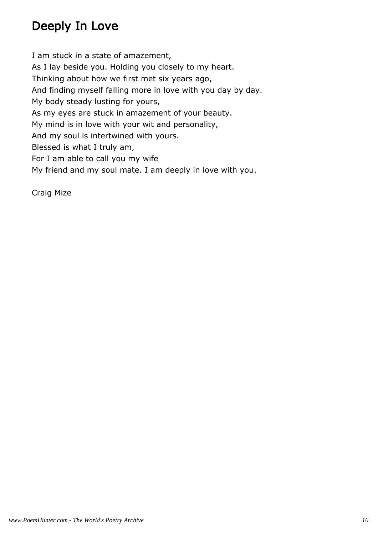## Deeply In Love

I am stuck in a state of amazement, As I lay beside you. Holding you closely to my heart. Thinking about how we first met six years ago, And finding myself falling more in love with you day by day. My body steady lusting for yours, As my eyes are stuck in amazement of your beauty. My mind is in love with your wit and personality, And my soul is intertwined with yours. Blessed is what I truly am, For I am able to call you my wife My friend and my soul mate. I am deeply in love with you.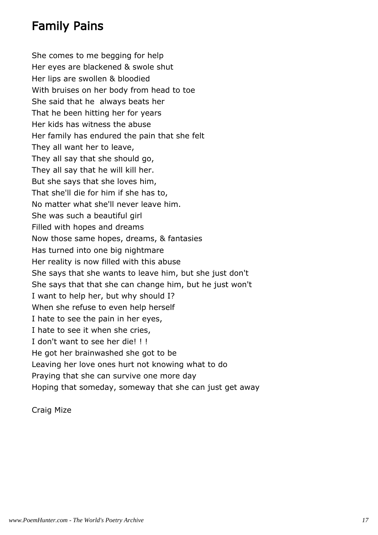#### Family Pains

She comes to me begging for help Her eyes are blackened & swole shut Her lips are swollen & bloodied With bruises on her body from head to toe She said that he always beats her That he been hitting her for years Her kids has witness the abuse Her family has endured the pain that she felt They all want her to leave, They all say that she should go, They all say that he will kill her. But she says that she loves him, That she'll die for him if she has to, No matter what she'll never leave him. She was such a beautiful girl Filled with hopes and dreams Now those same hopes, dreams, & fantasies Has turned into one big nightmare Her reality is now filled with this abuse She says that she wants to leave him, but she just don't She says that that she can change him, but he just won't I want to help her, but why should I? When she refuse to even help herself I hate to see the pain in her eyes, I hate to see it when she cries, I don't want to see her die! ! ! He got her brainwashed she got to be Leaving her love ones hurt not knowing what to do Praying that she can survive one more day Hoping that someday, someway that she can just get away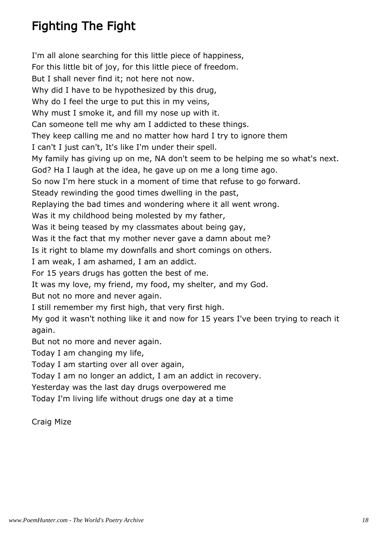## Fighting The Fight

I'm all alone searching for this little piece of happiness, For this little bit of joy, for this little piece of freedom. But I shall never find it; not here not now. Why did I have to be hypothesized by this drug, Why do I feel the urge to put this in my veins, Why must I smoke it, and fill my nose up with it. Can someone tell me why am I addicted to these things. They keep calling me and no matter how hard I try to ignore them I can't I just can't, It's like I'm under their spell. My family has giving up on me, NA don't seem to be helping me so what's next. God? Ha I laugh at the idea, he gave up on me a long time ago. So now I'm here stuck in a moment of time that refuse to go forward. Steady rewinding the good times dwelling in the past, Replaying the bad times and wondering where it all went wrong. Was it my childhood being molested by my father, Was it being teased by my classmates about being gay, Was it the fact that my mother never gave a damn about me? Is it right to blame my downfalls and short comings on others. I am weak, I am ashamed, I am an addict. For 15 years drugs has gotten the best of me. It was my love, my friend, my food, my shelter, and my God. But not no more and never again. I still remember my first high, that very first high. My god it wasn't nothing like it and now for 15 years I've been trying to reach it again. But not no more and never again. Today I am changing my life, Today I am starting over all over again, Today I am no longer an addict, I am an addict in recovery. Yesterday was the last day drugs overpowered me Today I'm living life without drugs one day at a time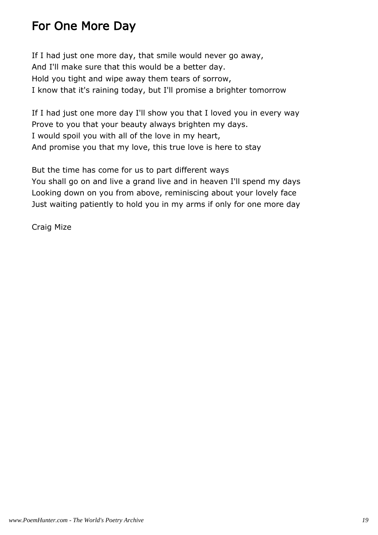#### For One More Day

If I had just one more day, that smile would never go away, And I'll make sure that this would be a better day. Hold you tight and wipe away them tears of sorrow, I know that it's raining today, but I'll promise a brighter tomorrow

If I had just one more day I'll show you that I loved you in every way Prove to you that your beauty always brighten my days. I would spoil you with all of the love in my heart, And promise you that my love, this true love is here to stay

But the time has come for us to part different ways You shall go on and live a grand live and in heaven I'll spend my days Looking down on you from above, reminiscing about your lovely face Just waiting patiently to hold you in my arms if only for one more day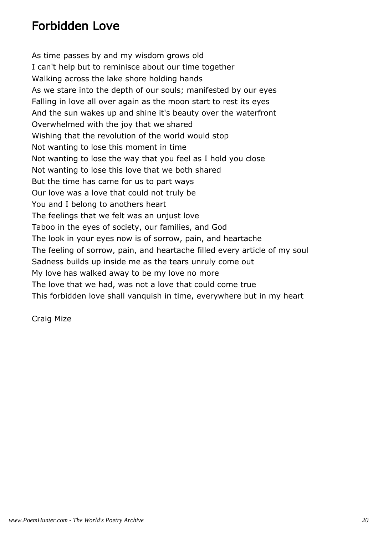#### Forbidden Love

As time passes by and my wisdom grows old I can't help but to reminisce about our time together Walking across the lake shore holding hands As we stare into the depth of our souls; manifested by our eyes Falling in love all over again as the moon start to rest its eyes And the sun wakes up and shine it's beauty over the waterfront Overwhelmed with the joy that we shared Wishing that the revolution of the world would stop Not wanting to lose this moment in time Not wanting to lose the way that you feel as I hold you close Not wanting to lose this love that we both shared But the time has came for us to part ways Our love was a love that could not truly be You and I belong to anothers heart The feelings that we felt was an unjust love Taboo in the eyes of society, our families, and God The look in your eyes now is of sorrow, pain, and heartache The feeling of sorrow, pain, and heartache filled every article of my soul Sadness builds up inside me as the tears unruly come out My love has walked away to be my love no more The love that we had, was not a love that could come true This forbidden love shall vanquish in time, everywhere but in my heart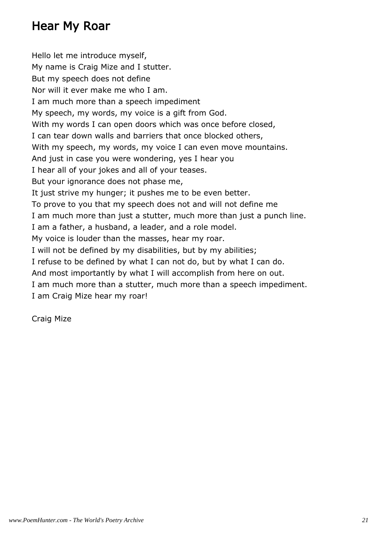#### Hear My Roar

Hello let me introduce myself, My name is Craig Mize and I stutter. But my speech does not define Nor will it ever make me who I am. I am much more than a speech impediment My speech, my words, my voice is a gift from God. With my words I can open doors which was once before closed, I can tear down walls and barriers that once blocked others, With my speech, my words, my voice I can even move mountains. And just in case you were wondering, yes I hear you I hear all of your jokes and all of your teases. But your ignorance does not phase me, It just strive my hunger; it pushes me to be even better. To prove to you that my speech does not and will not define me I am much more than just a stutter, much more than just a punch line. I am a father, a husband, a leader, and a role model. My voice is louder than the masses, hear my roar. I will not be defined by my disabilities, but by my abilities; I refuse to be defined by what I can not do, but by what I can do. And most importantly by what I will accomplish from here on out. I am much more than a stutter, much more than a speech impediment. I am Craig Mize hear my roar!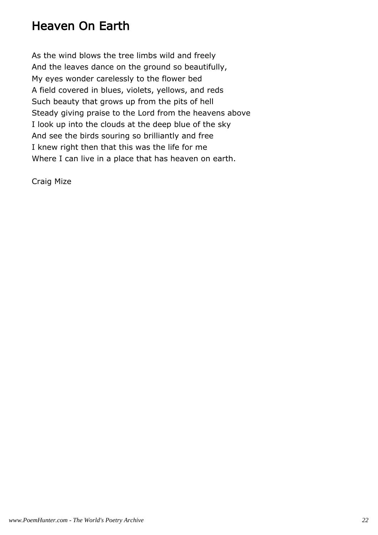#### Heaven On Earth

As the wind blows the tree limbs wild and freely And the leaves dance on the ground so beautifully, My eyes wonder carelessly to the flower bed A field covered in blues, violets, yellows, and reds Such beauty that grows up from the pits of hell Steady giving praise to the Lord from the heavens above I look up into the clouds at the deep blue of the sky And see the birds souring so brilliantly and free I knew right then that this was the life for me Where I can live in a place that has heaven on earth.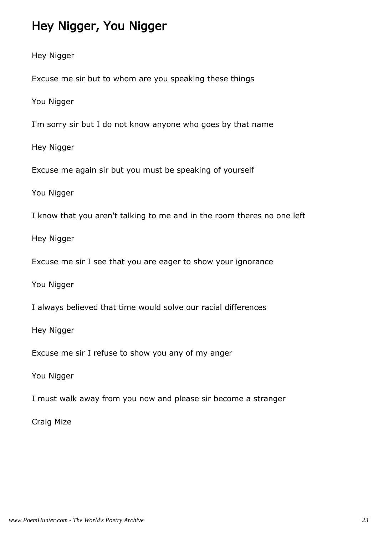#### Hey Nigger, You Nigger

Hey Nigger

Excuse me sir but to whom are you speaking these things

You Nigger

I'm sorry sir but I do not know anyone who goes by that name

Hey Nigger

Excuse me again sir but you must be speaking of yourself

You Nigger

I know that you aren't talking to me and in the room theres no one left

Hey Nigger

Excuse me sir I see that you are eager to show your ignorance

You Nigger

I always believed that time would solve our racial differences

Hey Nigger

Excuse me sir I refuse to show you any of my anger

You Nigger

I must walk away from you now and please sir become a stranger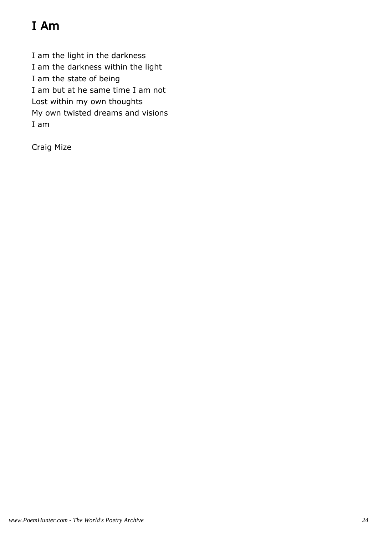# I Am

I am the light in the darkness I am the darkness within the light I am the state of being I am but at he same time I am not Lost within my own thoughts My own twisted dreams and visions I am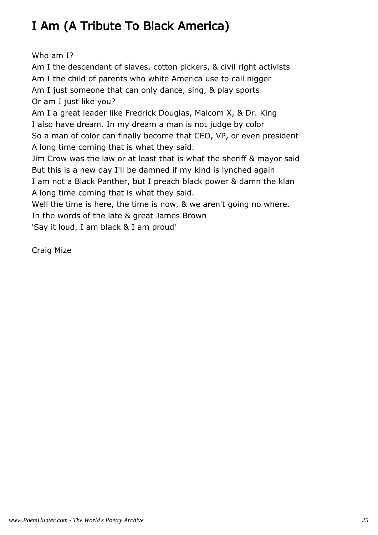## I Am (A Tribute To Black America)

Who am I?

Am I the descendant of slaves, cotton pickers, & civil right activists Am I the child of parents who white America use to call nigger Am I just someone that can only dance, sing, & play sports Or am I just like you? Am I a great leader like Fredrick Douglas, Malcom X, & Dr. King I also have dream. In my dream a man is not judge by color So a man of color can finally become that CEO, VP, or even president A long time coming that is what they said. Jim Crow was the law or at least that is what the sheriff & mayor said But this is a new day I'll be damned if my kind is lynched again I am not a Black Panther, but I preach black power & damn the klan A long time coming that is what they said. Well the time is here, the time is now, & we aren't going no where.

In the words of the late & great James Brown

'Say it loud, I am black & I am proud'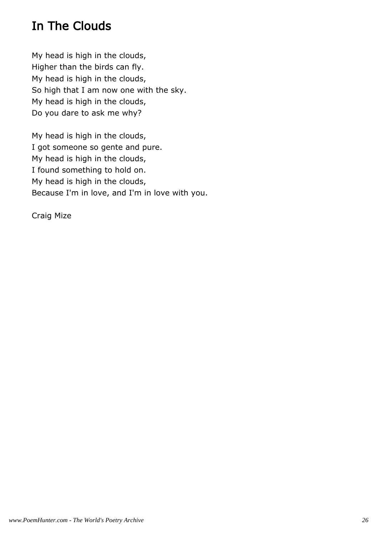## In The Clouds

My head is high in the clouds, Higher than the birds can fly. My head is high in the clouds, So high that I am now one with the sky. My head is high in the clouds, Do you dare to ask me why?

My head is high in the clouds, I got someone so gente and pure. My head is high in the clouds, I found something to hold on. My head is high in the clouds, Because I'm in love, and I'm in love with you.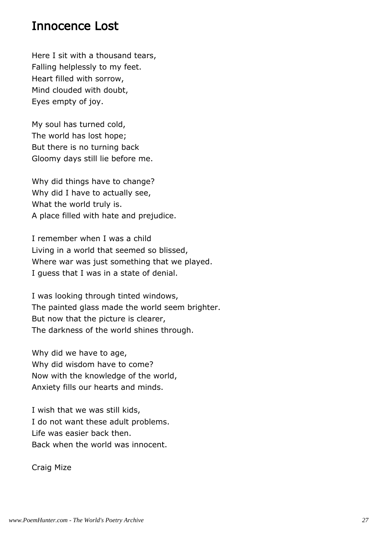#### Innocence Lost

Here I sit with a thousand tears, Falling helplessly to my feet. Heart filled with sorrow, Mind clouded with doubt, Eyes empty of joy.

My soul has turned cold, The world has lost hope; But there is no turning back Gloomy days still lie before me.

Why did things have to change? Why did I have to actually see, What the world truly is. A place filled with hate and prejudice.

I remember when I was a child Living in a world that seemed so blissed, Where war was just something that we played. I guess that I was in a state of denial.

I was looking through tinted windows, The painted glass made the world seem brighter. But now that the picture is clearer, The darkness of the world shines through.

Why did we have to age, Why did wisdom have to come? Now with the knowledge of the world, Anxiety fills our hearts and minds.

I wish that we was still kids, I do not want these adult problems. Life was easier back then. Back when the world was innocent.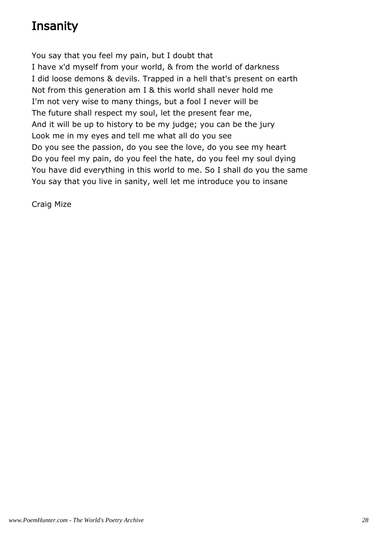## **Insanity**

You say that you feel my pain, but I doubt that I have x'd myself from your world, & from the world of darkness I did loose demons & devils. Trapped in a hell that's present on earth Not from this generation am I & this world shall never hold me I'm not very wise to many things, but a fool I never will be The future shall respect my soul, let the present fear me, And it will be up to history to be my judge; you can be the jury Look me in my eyes and tell me what all do you see Do you see the passion, do you see the love, do you see my heart Do you feel my pain, do you feel the hate, do you feel my soul dying You have did everything in this world to me. So I shall do you the same You say that you live in sanity, well let me introduce you to insane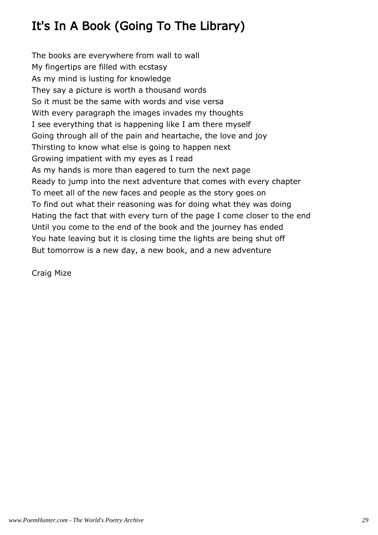## It's In A Book (Going To The Library)

The books are everywhere from wall to wall My fingertips are filled with ecstasy As my mind is lusting for knowledge They say a picture is worth a thousand words So it must be the same with words and vise versa With every paragraph the images invades my thoughts I see everything that is happening like I am there myself Going through all of the pain and heartache, the love and joy Thirsting to know what else is going to happen next Growing impatient with my eyes as I read As my hands is more than eagered to turn the next page Ready to jump into the next adventure that comes with every chapter To meet all of the new faces and people as the story goes on To find out what their reasoning was for doing what they was doing Hating the fact that with every turn of the page I come closer to the end Until you come to the end of the book and the journey has ended You hate leaving but it is closing time the lights are being shut off But tomorrow is a new day, a new book, and a new adventure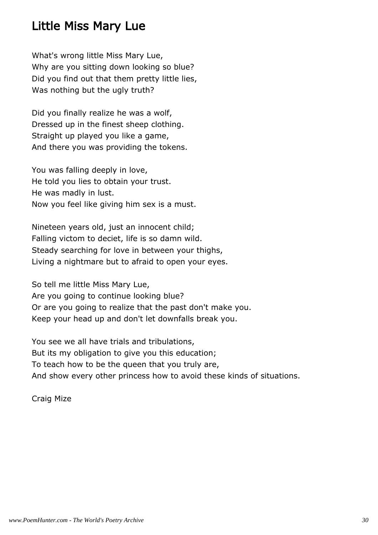#### Little Miss Mary Lue

What's wrong little Miss Mary Lue, Why are you sitting down looking so blue? Did you find out that them pretty little lies, Was nothing but the ugly truth?

Did you finally realize he was a wolf, Dressed up in the finest sheep clothing. Straight up played you like a game, And there you was providing the tokens.

You was falling deeply in love, He told you lies to obtain your trust. He was madly in lust. Now you feel like giving him sex is a must.

Nineteen years old, just an innocent child; Falling victom to deciet, life is so damn wild. Steady searching for love in between your thighs, Living a nightmare but to afraid to open your eyes.

So tell me little Miss Mary Lue, Are you going to continue looking blue? Or are you going to realize that the past don't make you. Keep your head up and don't let downfalls break you.

You see we all have trials and tribulations, But its my obligation to give you this education; To teach how to be the queen that you truly are, And show every other princess how to avoid these kinds of situations.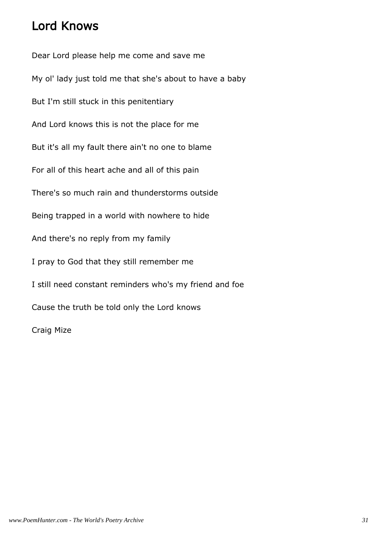#### Lord Knows

Dear Lord please help me come and save me My ol' lady just told me that she's about to have a baby But I'm still stuck in this penitentiary And Lord knows this is not the place for me But it's all my fault there ain't no one to blame For all of this heart ache and all of this pain There's so much rain and thunderstorms outside Being trapped in a world with nowhere to hide And there's no reply from my family I pray to God that they still remember me I still need constant reminders who's my friend and foe Cause the truth be told only the Lord knows Craig Mize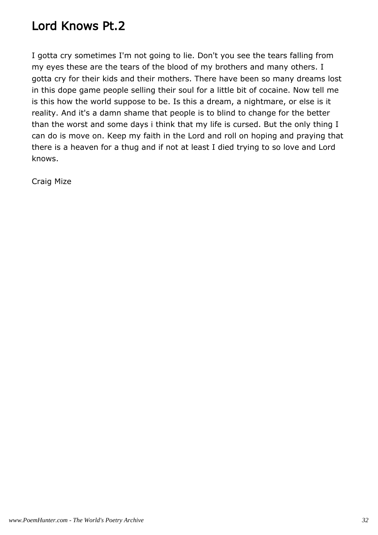#### Lord Knows Pt.2

I gotta cry sometimes I'm not going to lie. Don't you see the tears falling from my eyes these are the tears of the blood of my brothers and many others. I gotta cry for their kids and their mothers. There have been so many dreams lost in this dope game people selling their soul for a little bit of cocaine. Now tell me is this how the world suppose to be. Is this a dream, a nightmare, or else is it reality. And it's a damn shame that people is to blind to change for the better than the worst and some days i think that my life is cursed. But the only thing I can do is move on. Keep my faith in the Lord and roll on hoping and praying that there is a heaven for a thug and if not at least I died trying to so love and Lord knows.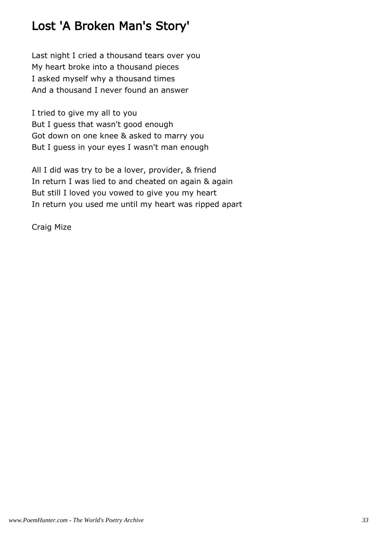## Lost 'A Broken Man's Story'

Last night I cried a thousand tears over you My heart broke into a thousand pieces I asked myself why a thousand times And a thousand I never found an answer

I tried to give my all to you But I guess that wasn't good enough Got down on one knee & asked to marry you But I guess in your eyes I wasn't man enough

All I did was try to be a lover, provider, & friend In return I was lied to and cheated on again & again But still I loved you vowed to give you my heart In return you used me until my heart was ripped apart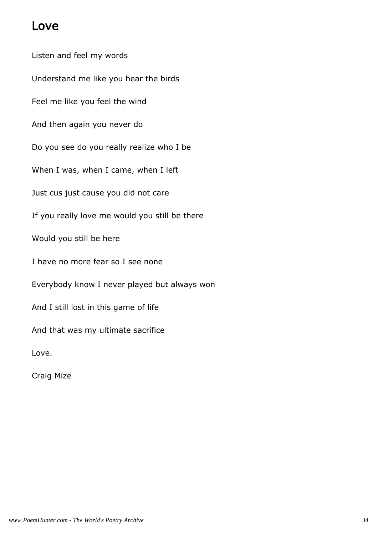#### Love

Listen and feel my words Understand me like you hear the birds Feel me like you feel the wind And then again you never do Do you see do you really realize who I be When I was, when I came, when I left Just cus just cause you did not care If you really love me would you still be there Would you still be here I have no more fear so I see none Everybody know I never played but always won And I still lost in this game of life And that was my ultimate sacrifice Love.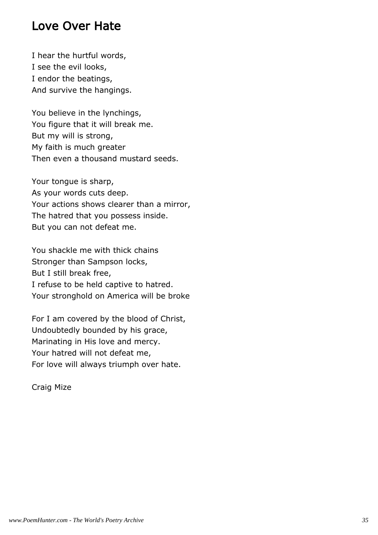#### Love Over Hate

I hear the hurtful words, I see the evil looks, I endor the beatings, And survive the hangings.

You believe in the lynchings, You figure that it will break me. But my will is strong, My faith is much greater Then even a thousand mustard seeds.

Your tongue is sharp, As your words cuts deep. Your actions shows clearer than a mirror, The hatred that you possess inside. But you can not defeat me.

You shackle me with thick chains Stronger than Sampson locks, But I still break free, I refuse to be held captive to hatred. Your stronghold on America will be broke

For I am covered by the blood of Christ, Undoubtedly bounded by his grace, Marinating in His love and mercy. Your hatred will not defeat me, For love will always triumph over hate.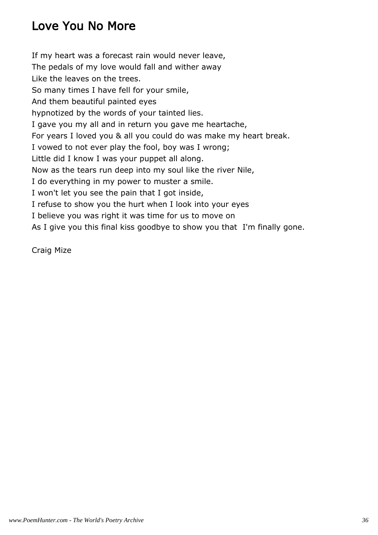## Love You No More

If my heart was a forecast rain would never leave, The pedals of my love would fall and wither away Like the leaves on the trees. So many times I have fell for your smile, And them beautiful painted eyes hypnotized by the words of your tainted lies. I gave you my all and in return you gave me heartache, For years I loved you & all you could do was make my heart break. I vowed to not ever play the fool, boy was I wrong; Little did I know I was your puppet all along. Now as the tears run deep into my soul like the river Nile, I do everything in my power to muster a smile. I won't let you see the pain that I got inside, I refuse to show you the hurt when I look into your eyes I believe you was right it was time for us to move on As I give you this final kiss goodbye to show you that I'm finally gone.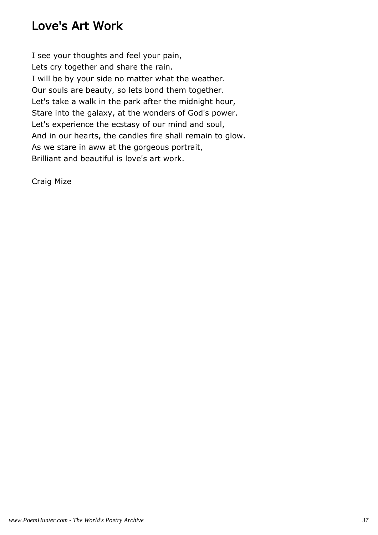### Love's Art Work

I see your thoughts and feel your pain, Lets cry together and share the rain. I will be by your side no matter what the weather. Our souls are beauty, so lets bond them together. Let's take a walk in the park after the midnight hour, Stare into the galaxy, at the wonders of God's power. Let's experience the ecstasy of our mind and soul, And in our hearts, the candles fire shall remain to glow. As we stare in aww at the gorgeous portrait, Brilliant and beautiful is love's art work.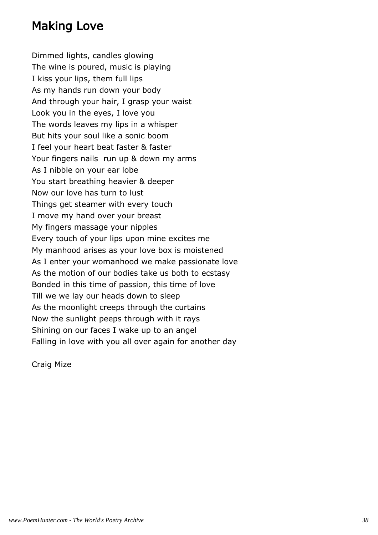#### Making Love

Dimmed lights, candles glowing The wine is poured, music is playing I kiss your lips, them full lips As my hands run down your body And through your hair, I grasp your waist Look you in the eyes, I love you The words leaves my lips in a whisper But hits your soul like a sonic boom I feel your heart beat faster & faster Your fingers nails run up & down my arms As I nibble on your ear lobe You start breathing heavier & deeper Now our love has turn to lust Things get steamer with every touch I move my hand over your breast My fingers massage your nipples Every touch of your lips upon mine excites me My manhood arises as your love box is moistened As I enter your womanhood we make passionate love As the motion of our bodies take us both to ecstasy Bonded in this time of passion, this time of love Till we we lay our heads down to sleep As the moonlight creeps through the curtains Now the sunlight peeps through with it rays Shining on our faces I wake up to an angel Falling in love with you all over again for another day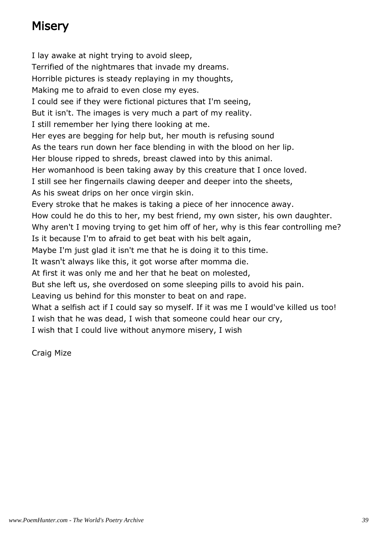## **Misery**

I lay awake at night trying to avoid sleep, Terrified of the nightmares that invade my dreams. Horrible pictures is steady replaying in my thoughts, Making me to afraid to even close my eyes. I could see if they were fictional pictures that I'm seeing, But it isn't. The images is very much a part of my reality. I still remember her lying there looking at me. Her eyes are begging for help but, her mouth is refusing sound As the tears run down her face blending in with the blood on her lip. Her blouse ripped to shreds, breast clawed into by this animal. Her womanhood is been taking away by this creature that I once loved. I still see her fingernails clawing deeper and deeper into the sheets, As his sweat drips on her once virgin skin. Every stroke that he makes is taking a piece of her innocence away. How could he do this to her, my best friend, my own sister, his own daughter. Why aren't I moving trying to get him off of her, why is this fear controlling me? Is it because I'm to afraid to get beat with his belt again, Maybe I'm just glad it isn't me that he is doing it to this time. It wasn't always like this, it got worse after momma die. At first it was only me and her that he beat on molested, But she left us, she overdosed on some sleeping pills to avoid his pain. Leaving us behind for this monster to beat on and rape. What a selfish act if I could say so myself. If it was me I would've killed us too! I wish that he was dead, I wish that someone could hear our cry, I wish that I could live without anymore misery, I wish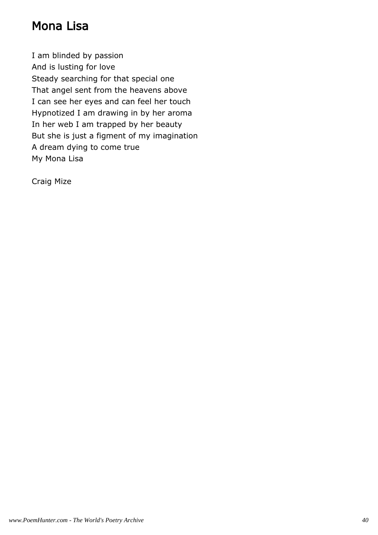#### Mona Lisa

I am blinded by passion And is lusting for love Steady searching for that special one That angel sent from the heavens above I can see her eyes and can feel her touch Hypnotized I am drawing in by her aroma In her web I am trapped by her beauty But she is just a figment of my imagination A dream dying to come true My Mona Lisa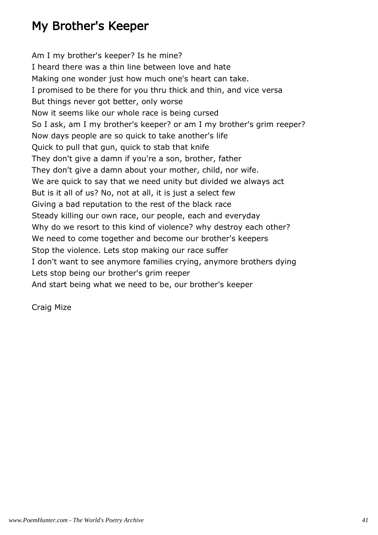## My Brother's Keeper

Am I my brother's keeper? Is he mine? I heard there was a thin line between love and hate Making one wonder just how much one's heart can take. I promised to be there for you thru thick and thin, and vice versa But things never got better, only worse Now it seems like our whole race is being cursed So I ask, am I my brother's keeper? or am I my brother's grim reeper? Now days people are so quick to take another's life Quick to pull that gun, quick to stab that knife They don't give a damn if you're a son, brother, father They don't give a damn about your mother, child, nor wife. We are quick to say that we need unity but divided we always act But is it all of us? No, not at all, it is just a select few Giving a bad reputation to the rest of the black race Steady killing our own race, our people, each and everyday Why do we resort to this kind of violence? why destroy each other? We need to come together and become our brother's keepers Stop the violence. Lets stop making our race suffer I don't want to see anymore families crying, anymore brothers dying Lets stop being our brother's grim reeper And start being what we need to be, our brother's keeper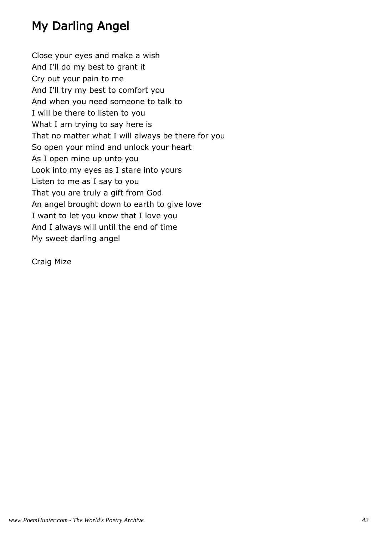## My Darling Angel

Close your eyes and make a wish And I'll do my best to grant it Cry out your pain to me And I'll try my best to comfort you And when you need someone to talk to I will be there to listen to you What I am trying to say here is That no matter what I will always be there for you So open your mind and unlock your heart As I open mine up unto you Look into my eyes as I stare into yours Listen to me as I say to you That you are truly a gift from God An angel brought down to earth to give love I want to let you know that I love you And I always will until the end of time My sweet darling angel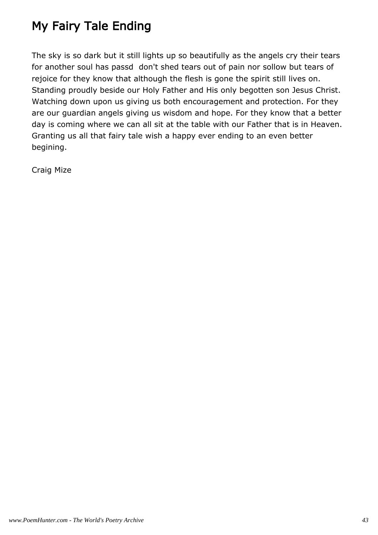# My Fairy Tale Ending

The sky is so dark but it still lights up so beautifully as the angels cry their tears for another soul has passd don't shed tears out of pain nor sollow but tears of rejoice for they know that although the flesh is gone the spirit still lives on. Standing proudly beside our Holy Father and His only begotten son Jesus Christ. Watching down upon us giving us both encouragement and protection. For they are our guardian angels giving us wisdom and hope. For they know that a better day is coming where we can all sit at the table with our Father that is in Heaven. Granting us all that fairy tale wish a happy ever ending to an even better begining.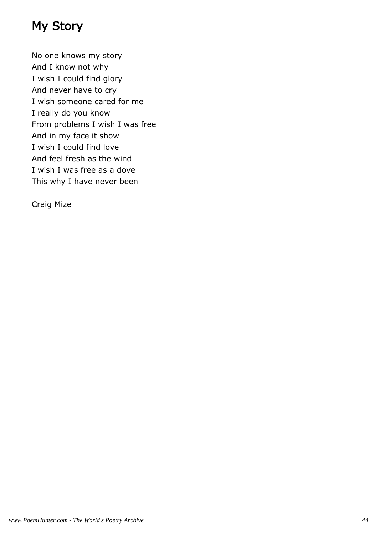## My Story

No one knows my story And I know not why I wish I could find glory And never have to cry I wish someone cared for me I really do you know From problems I wish I was free And in my face it show I wish I could find love And feel fresh as the wind I wish I was free as a dove This why I have never been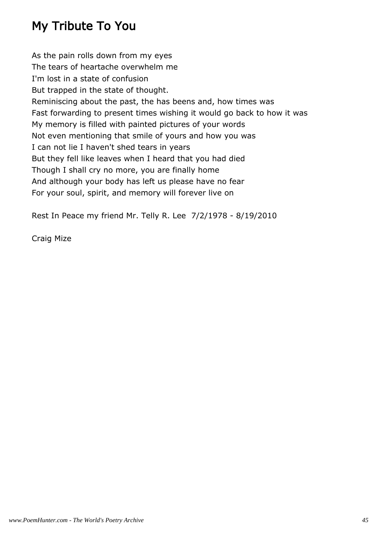## My Tribute To You

As the pain rolls down from my eyes The tears of heartache overwhelm me I'm lost in a state of confusion But trapped in the state of thought. Reminiscing about the past, the has beens and, how times was Fast forwarding to present times wishing it would go back to how it was My memory is filled with painted pictures of your words Not even mentioning that smile of yours and how you was I can not lie I haven't shed tears in years But they fell like leaves when I heard that you had died Though I shall cry no more, you are finally home And although your body has left us please have no fear For your soul, spirit, and memory will forever live on

Rest In Peace my friend Mr. Telly R. Lee 7/2/1978 - 8/19/2010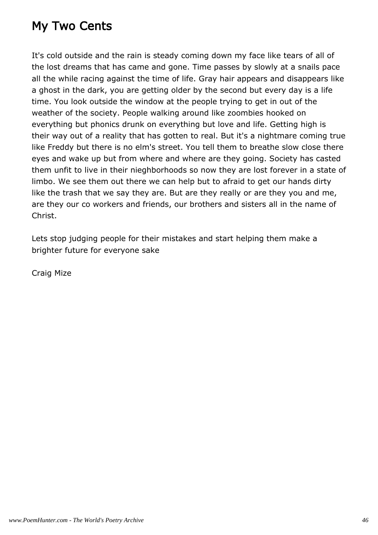### My Two Cents

It's cold outside and the rain is steady coming down my face like tears of all of the lost dreams that has came and gone. Time passes by slowly at a snails pace all the while racing against the time of life. Gray hair appears and disappears like a ghost in the dark, you are getting older by the second but every day is a life time. You look outside the window at the people trying to get in out of the weather of the society. People walking around like zoombies hooked on everything but phonics drunk on everything but love and life. Getting high is their way out of a reality that has gotten to real. But it's a nightmare coming true like Freddy but there is no elm's street. You tell them to breathe slow close there eyes and wake up but from where and where are they going. Society has casted them unfit to live in their nieghborhoods so now they are lost forever in a state of limbo. We see them out there we can help but to afraid to get our hands dirty like the trash that we say they are. But are they really or are they you and me, are they our co workers and friends, our brothers and sisters all in the name of Christ.

Lets stop judging people for their mistakes and start helping them make a brighter future for everyone sake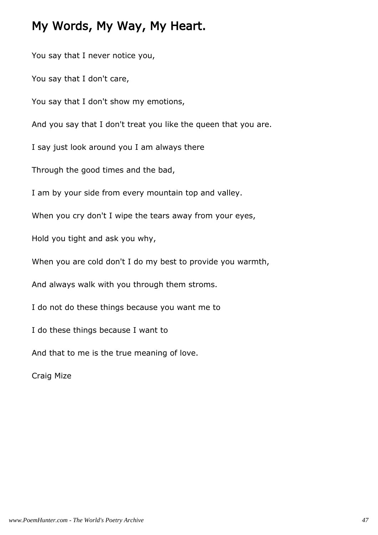#### My Words, My Way, My Heart.

You say that I never notice you, You say that I don't care, You say that I don't show my emotions, And you say that I don't treat you like the queen that you are. I say just look around you I am always there Through the good times and the bad, I am by your side from every mountain top and valley. When you cry don't I wipe the tears away from your eyes, Hold you tight and ask you why, When you are cold don't I do my best to provide you warmth, And always walk with you through them stroms. I do not do these things because you want me to I do these things because I want to And that to me is the true meaning of love. Craig Mize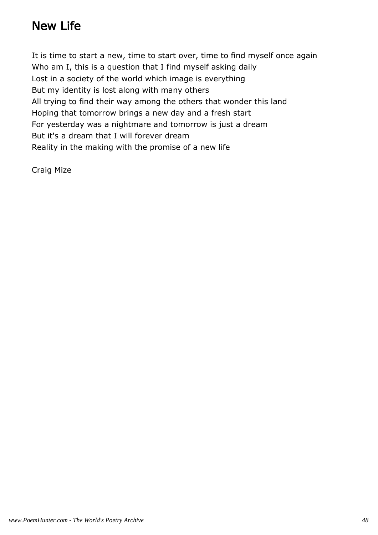#### New Life

It is time to start a new, time to start over, time to find myself once again Who am I, this is a question that I find myself asking daily Lost in a society of the world which image is everything But my identity is lost along with many others All trying to find their way among the others that wonder this land Hoping that tomorrow brings a new day and a fresh start For yesterday was a nightmare and tomorrow is just a dream But it's a dream that I will forever dream Reality in the making with the promise of a new life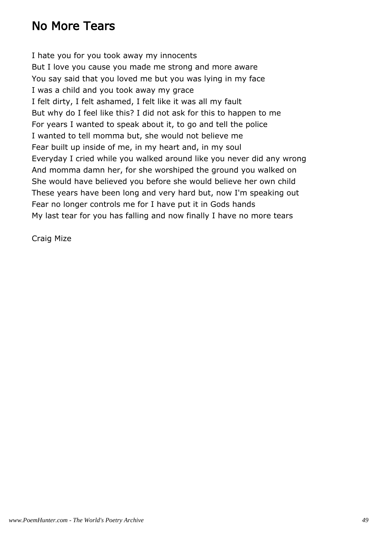#### No More Tears

I hate you for you took away my innocents But I love you cause you made me strong and more aware You say said that you loved me but you was lying in my face I was a child and you took away my grace I felt dirty, I felt ashamed, I felt like it was all my fault But why do I feel like this? I did not ask for this to happen to me For years I wanted to speak about it, to go and tell the police I wanted to tell momma but, she would not believe me Fear built up inside of me, in my heart and, in my soul Everyday I cried while you walked around like you never did any wrong And momma damn her, for she worshiped the ground you walked on She would have believed you before she would believe her own child These years have been long and very hard but, now I'm speaking out Fear no longer controls me for I have put it in Gods hands My last tear for you has falling and now finally I have no more tears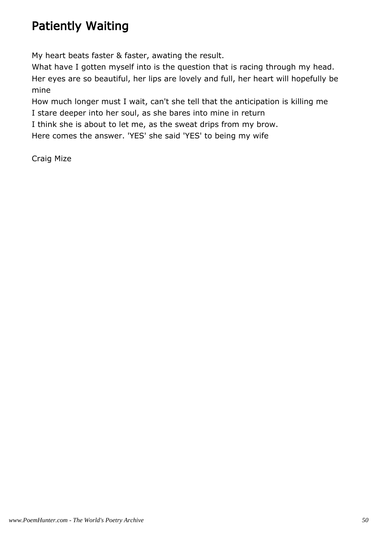## Patiently Waiting

My heart beats faster & faster, awating the result.

What have I gotten myself into is the question that is racing through my head. Her eyes are so beautiful, her lips are lovely and full, her heart will hopefully be mine

How much longer must I wait, can't she tell that the anticipation is killing me I stare deeper into her soul, as she bares into mine in return

I think she is about to let me, as the sweat drips from my brow.

Here comes the answer. 'YES' she said 'YES' to being my wife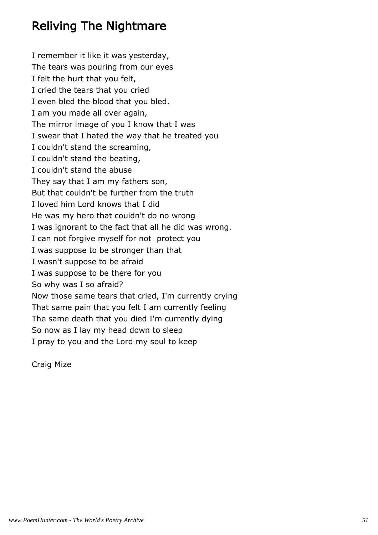### Reliving The Nightmare

I remember it like it was yesterday, The tears was pouring from our eyes I felt the hurt that you felt, I cried the tears that you cried I even bled the blood that you bled. I am you made all over again, The mirror image of you I know that I was I swear that I hated the way that he treated you I couldn't stand the screaming, I couldn't stand the beating, I couldn't stand the abuse They say that I am my fathers son, But that couldn't be further from the truth I loved him Lord knows that I did He was my hero that couldn't do no wrong I was ignorant to the fact that all he did was wrong. I can not forgive myself for not protect you I was suppose to be stronger than that I wasn't suppose to be afraid I was suppose to be there for you So why was I so afraid? Now those same tears that cried, I'm currently crying That same pain that you felt I am currently feeling The same death that you died I'm currently dying So now as I lay my head down to sleep I pray to you and the Lord my soul to keep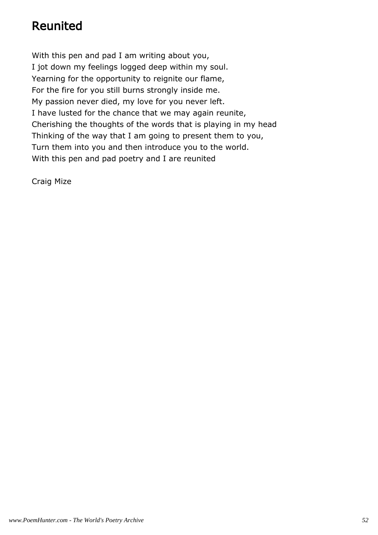## Reunited

With this pen and pad I am writing about you, I jot down my feelings logged deep within my soul. Yearning for the opportunity to reignite our flame, For the fire for you still burns strongly inside me. My passion never died, my love for you never left. I have lusted for the chance that we may again reunite, Cherishing the thoughts of the words that is playing in my head Thinking of the way that I am going to present them to you, Turn them into you and then introduce you to the world. With this pen and pad poetry and I are reunited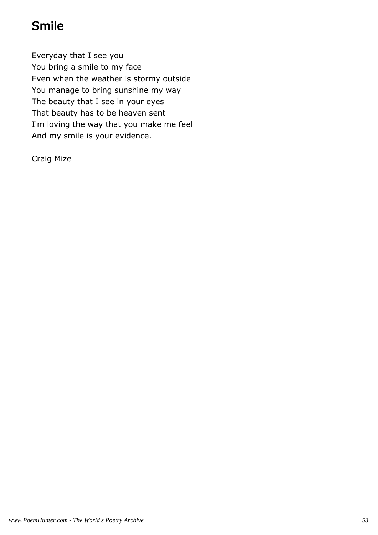## Smile

Everyday that I see you You bring a smile to my face Even when the weather is stormy outside You manage to bring sunshine my way The beauty that I see in your eyes That beauty has to be heaven sent I'm loving the way that you make me feel And my smile is your evidence.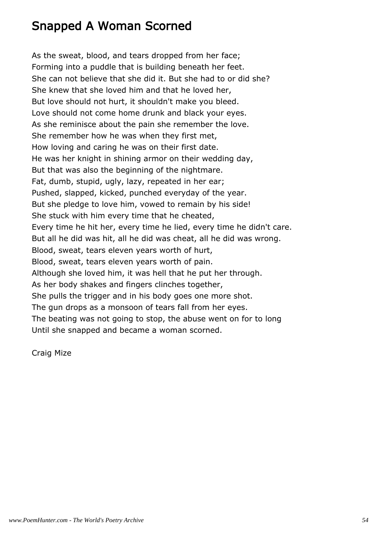#### Snapped A Woman Scorned

As the sweat, blood, and tears dropped from her face; Forming into a puddle that is building beneath her feet. She can not believe that she did it. But she had to or did she? She knew that she loved him and that he loved her, But love should not hurt, it shouldn't make you bleed. Love should not come home drunk and black your eyes. As she reminisce about the pain she remember the love. She remember how he was when they first met, How loving and caring he was on their first date. He was her knight in shining armor on their wedding day, But that was also the beginning of the nightmare. Fat, dumb, stupid, ugly, lazy, repeated in her ear; Pushed, slapped, kicked, punched everyday of the year. But she pledge to love him, vowed to remain by his side! She stuck with him every time that he cheated, Every time he hit her, every time he lied, every time he didn't care. But all he did was hit, all he did was cheat, all he did was wrong. Blood, sweat, tears eleven years worth of hurt, Blood, sweat, tears eleven years worth of pain. Although she loved him, it was hell that he put her through. As her body shakes and fingers clinches together, She pulls the trigger and in his body goes one more shot. The gun drops as a monsoon of tears fall from her eyes. The beating was not going to stop, the abuse went on for to long Until she snapped and became a woman scorned.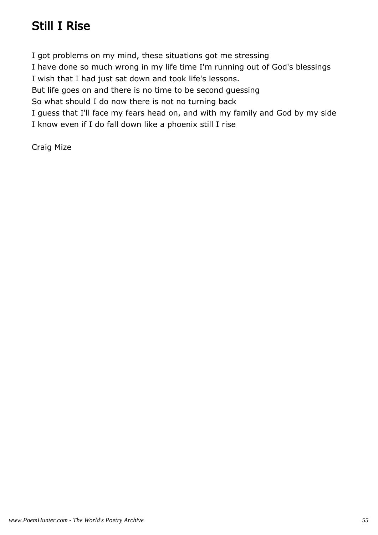### Still I Rise

I got problems on my mind, these situations got me stressing I have done so much wrong in my life time I'm running out of God's blessings I wish that I had just sat down and took life's lessons. But life goes on and there is no time to be second guessing So what should I do now there is not no turning back I guess that I'll face my fears head on, and with my family and God by my side I know even if I do fall down like a phoenix still I rise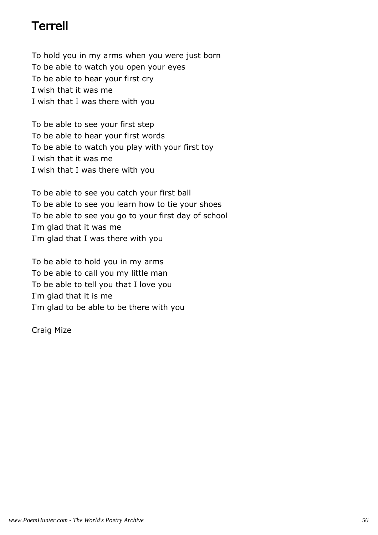#### Terrell

To hold you in my arms when you were just born To be able to watch you open your eyes To be able to hear your first cry I wish that it was me I wish that I was there with you

To be able to see your first step To be able to hear your first words To be able to watch you play with your first toy I wish that it was me I wish that I was there with you

To be able to see you catch your first ball To be able to see you learn how to tie your shoes To be able to see you go to your first day of school I'm glad that it was me I'm glad that I was there with you

To be able to hold you in my arms To be able to call you my little man To be able to tell you that I love you I'm glad that it is me I'm glad to be able to be there with you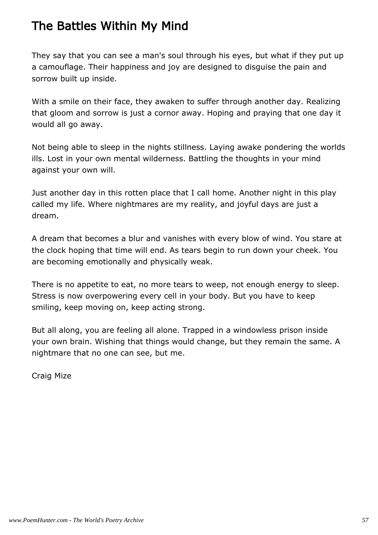## The Battles Within My Mind

They say that you can see a man's soul through his eyes, but what if they put up a camouflage. Their happiness and joy are designed to disguise the pain and sorrow built up inside.

With a smile on their face, they awaken to suffer through another day. Realizing that gloom and sorrow is just a cornor away. Hoping and praying that one day it would all go away.

Not being able to sleep in the nights stillness. Laying awake pondering the worlds ills. Lost in your own mental wilderness. Battling the thoughts in your mind against your own will.

Just another day in this rotten place that I call home. Another night in this play called my life. Where nightmares are my reality, and joyful days are just a dream.

A dream that becomes a blur and vanishes with every blow of wind. You stare at the clock hoping that time will end. As tears begin to run down your cheek. You are becoming emotionally and physically weak.

There is no appetite to eat, no more tears to weep, not enough energy to sleep. Stress is now overpowering every cell in your body. But you have to keep smiling, keep moving on, keep acting strong.

But all along, you are feeling all alone. Trapped in a windowless prison inside your own brain. Wishing that things would change, but they remain the same. A nightmare that no one can see, but me.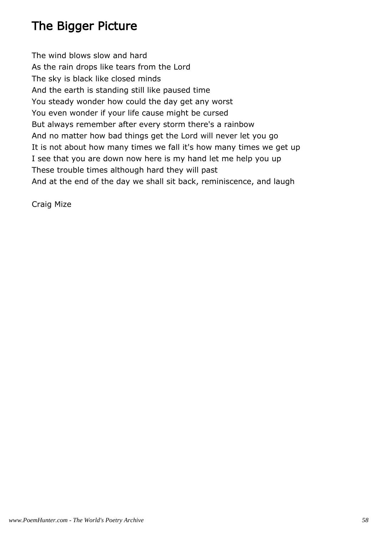## The Bigger Picture

The wind blows slow and hard As the rain drops like tears from the Lord The sky is black like closed minds And the earth is standing still like paused time You steady wonder how could the day get any worst You even wonder if your life cause might be cursed But always remember after every storm there's a rainbow And no matter how bad things get the Lord will never let you go It is not about how many times we fall it's how many times we get up I see that you are down now here is my hand let me help you up These trouble times although hard they will past And at the end of the day we shall sit back, reminiscence, and laugh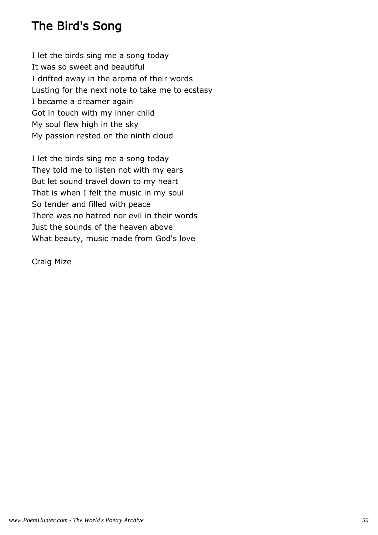### The Bird's Song

I let the birds sing me a song today It was so sweet and beautiful I drifted away in the aroma of their words Lusting for the next note to take me to ecstasy I became a dreamer again Got in touch with my inner child My soul flew high in the sky My passion rested on the ninth cloud

I let the birds sing me a song today They told me to listen not with my ears But let sound travel down to my heart That is when I felt the music in my soul So tender and filled with peace There was no hatred nor evil in their words Just the sounds of the heaven above What beauty, music made from God's love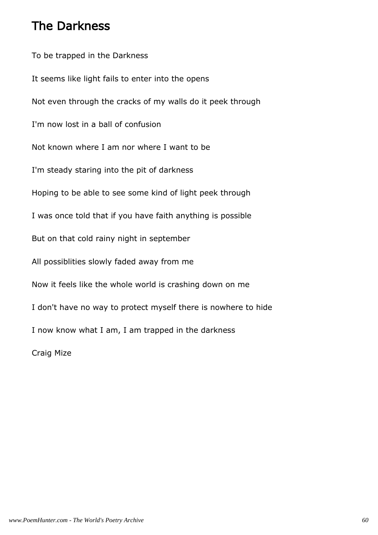#### The Darkness

To be trapped in the Darkness It seems like light fails to enter into the opens Not even through the cracks of my walls do it peek through I'm now lost in a ball of confusion Not known where I am nor where I want to be I'm steady staring into the pit of darkness Hoping to be able to see some kind of light peek through I was once told that if you have faith anything is possible But on that cold rainy night in september All possiblities slowly faded away from me Now it feels like the whole world is crashing down on me I don't have no way to protect myself there is nowhere to hide I now know what I am, I am trapped in the darkness Craig Mize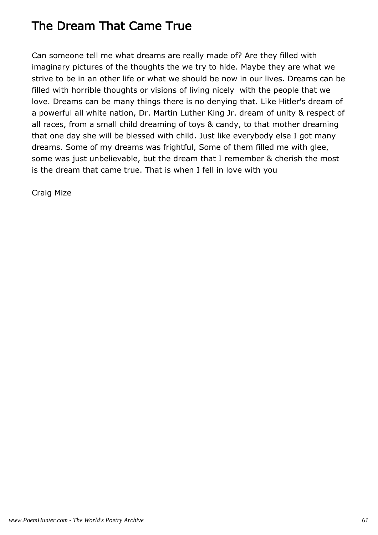## The Dream That Came True

Can someone tell me what dreams are really made of? Are they filled with imaginary pictures of the thoughts the we try to hide. Maybe they are what we strive to be in an other life or what we should be now in our lives. Dreams can be filled with horrible thoughts or visions of living nicely with the people that we love. Dreams can be many things there is no denying that. Like Hitler's dream of a powerful all white nation, Dr. Martin Luther King Jr. dream of unity & respect of all races, from a small child dreaming of toys & candy, to that mother dreaming that one day she will be blessed with child. Just like everybody else I got many dreams. Some of my dreams was frightful, Some of them filled me with glee, some was just unbelievable, but the dream that I remember & cherish the most is the dream that came true. That is when I fell in love with you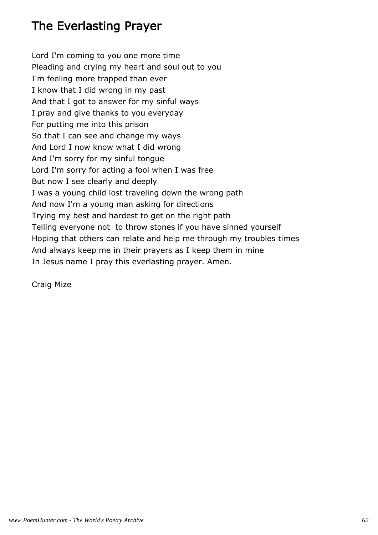## The Everlasting Prayer

Lord I'm coming to you one more time Pleading and crying my heart and soul out to you I'm feeling more trapped than ever I know that I did wrong in my past And that I got to answer for my sinful ways I pray and give thanks to you everyday For putting me into this prison So that I can see and change my ways And Lord I now know what I did wrong And I'm sorry for my sinful tongue Lord I'm sorry for acting a fool when I was free But now I see clearly and deeply I was a young child lost traveling down the wrong path And now I'm a young man asking for directions Trying my best and hardest to get on the right path Telling everyone not to throw stones if you have sinned yourself Hoping that others can relate and help me through my troubles times And always keep me in their prayers as I keep them in mine In Jesus name I pray this everlasting prayer. Amen.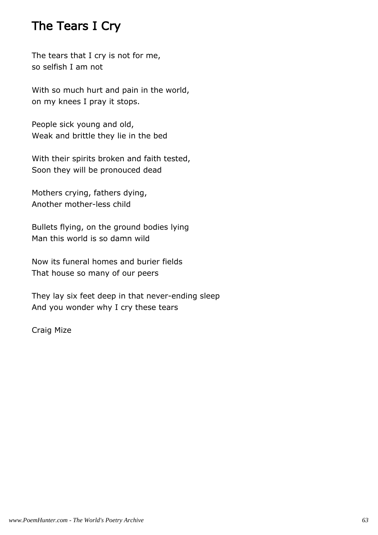#### The Tears I Cry

The tears that I cry is not for me, so selfish I am not

With so much hurt and pain in the world, on my knees I pray it stops.

People sick young and old, Weak and brittle they lie in the bed

With their spirits broken and faith tested, Soon they will be pronouced dead

Mothers crying, fathers dying, Another mother-less child

Bullets flying, on the ground bodies lying Man this world is so damn wild

Now its funeral homes and burier fields That house so many of our peers

They lay six feet deep in that never-ending sleep And you wonder why I cry these tears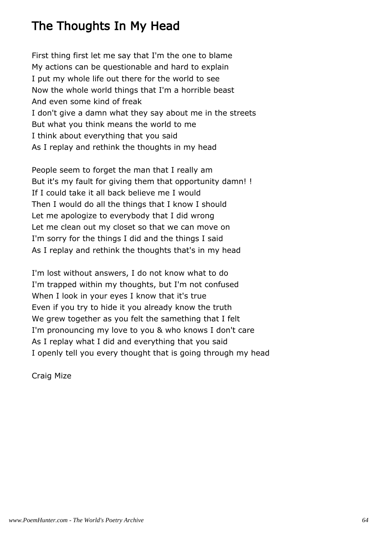### The Thoughts In My Head

First thing first let me say that I'm the one to blame My actions can be questionable and hard to explain I put my whole life out there for the world to see Now the whole world things that I'm a horrible beast And even some kind of freak I don't give a damn what they say about me in the streets But what you think means the world to me I think about everything that you said As I replay and rethink the thoughts in my head

People seem to forget the man that I really am But it's my fault for giving them that opportunity damn! ! If I could take it all back believe me I would Then I would do all the things that I know I should Let me apologize to everybody that I did wrong Let me clean out my closet so that we can move on I'm sorry for the things I did and the things I said As I replay and rethink the thoughts that's in my head

I'm lost without answers, I do not know what to do I'm trapped within my thoughts, but I'm not confused When I look in your eyes I know that it's true Even if you try to hide it you already know the truth We grew together as you felt the samething that I felt I'm pronouncing my love to you & who knows I don't care As I replay what I did and everything that you said I openly tell you every thought that is going through my head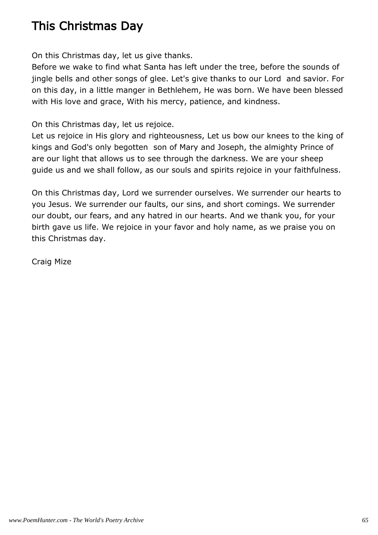### This Christmas Day

On this Christmas day, let us give thanks.

Before we wake to find what Santa has left under the tree, before the sounds of jingle bells and other songs of glee. Let's give thanks to our Lord and savior. For on this day, in a little manger in Bethlehem, He was born. We have been blessed with His love and grace, With his mercy, patience, and kindness.

On this Christmas day, let us rejoice.

Let us rejoice in His glory and righteousness, Let us bow our knees to the king of kings and God's only begotten son of Mary and Joseph, the almighty Prince of are our light that allows us to see through the darkness. We are your sheep guide us and we shall follow, as our souls and spirits rejoice in your faithfulness.

On this Christmas day, Lord we surrender ourselves. We surrender our hearts to you Jesus. We surrender our faults, our sins, and short comings. We surrender our doubt, our fears, and any hatred in our hearts. And we thank you, for your birth gave us life. We rejoice in your favor and holy name, as we praise you on this Christmas day.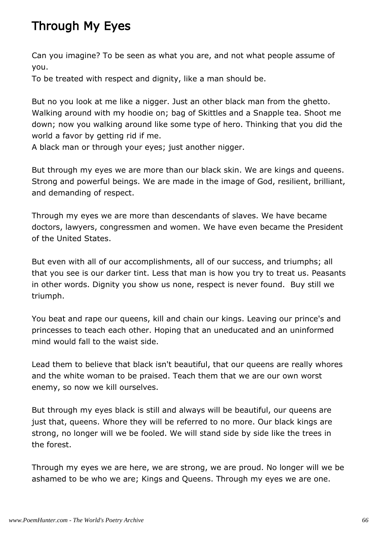## Through My Eyes

Can you imagine? To be seen as what you are, and not what people assume of you.

To be treated with respect and dignity, like a man should be.

But no you look at me like a nigger. Just an other black man from the ghetto. Walking around with my hoodie on; bag of Skittles and a Snapple tea. Shoot me down; now you walking around like some type of hero. Thinking that you did the world a favor by getting rid if me.

A black man or through your eyes; just another nigger.

But through my eyes we are more than our black skin. We are kings and queens. Strong and powerful beings. We are made in the image of God, resilient, brilliant, and demanding of respect.

Through my eyes we are more than descendants of slaves. We have became doctors, lawyers, congressmen and women. We have even became the President of the United States.

But even with all of our accomplishments, all of our success, and triumphs; all that you see is our darker tint. Less that man is how you try to treat us. Peasants in other words. Dignity you show us none, respect is never found. Buy still we triumph.

You beat and rape our queens, kill and chain our kings. Leaving our prince's and princesses to teach each other. Hoping that an uneducated and an uninformed mind would fall to the waist side.

Lead them to believe that black isn't beautiful, that our queens are really whores and the white woman to be praised. Teach them that we are our own worst enemy, so now we kill ourselves.

But through my eyes black is still and always will be beautiful, our queens are just that, queens. Whore they will be referred to no more. Our black kings are strong, no longer will we be fooled. We will stand side by side like the trees in the forest.

Through my eyes we are here, we are strong, we are proud. No longer will we be ashamed to be who we are; Kings and Queens. Through my eyes we are one.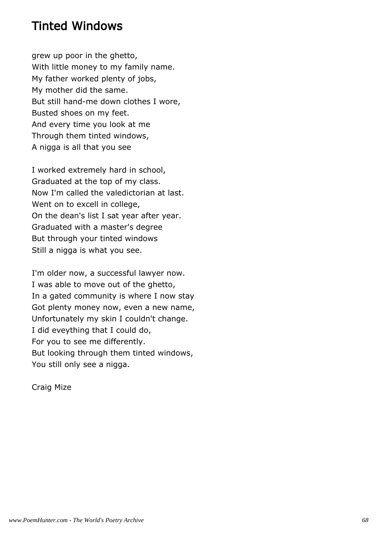#### Tinted Windows

grew up poor in the ghetto, With little money to my family name. My father worked plenty of jobs, My mother did the same. But still hand-me down clothes I wore, Busted shoes on my feet. And every time you look at me Through them tinted windows, A nigga is all that you see

I worked extremely hard in school, Graduated at the top of my class. Now I'm called the valedictorian at last. Went on to excell in college, On the dean's list I sat year after year. Graduated with a master's degree But through your tinted windows Still a nigga is what you see.

I'm older now, a successful lawyer now. I was able to move out of the ghetto, In a gated community is where I now stay Got plenty money now, even a new name, Unfortunately my skin I couldn't change. I did eveything that I could do, For you to see me differently. But looking through them tinted windows, You still only see a nigga.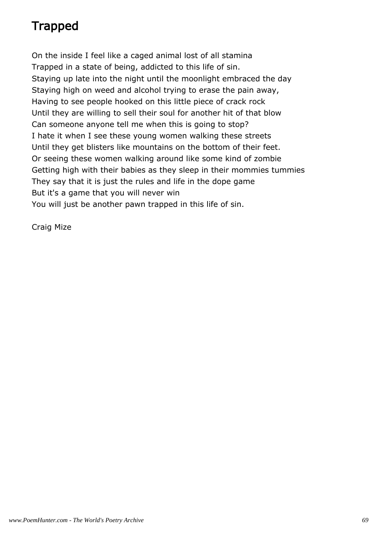# Trapped

On the inside I feel like a caged animal lost of all stamina Trapped in a state of being, addicted to this life of sin. Staying up late into the night until the moonlight embraced the day Staying high on weed and alcohol trying to erase the pain away, Having to see people hooked on this little piece of crack rock Until they are willing to sell their soul for another hit of that blow Can someone anyone tell me when this is going to stop? I hate it when I see these young women walking these streets Until they get blisters like mountains on the bottom of their feet. Or seeing these women walking around like some kind of zombie Getting high with their babies as they sleep in their mommies tummies They say that it is just the rules and life in the dope game But it's a game that you will never win You will just be another pawn trapped in this life of sin.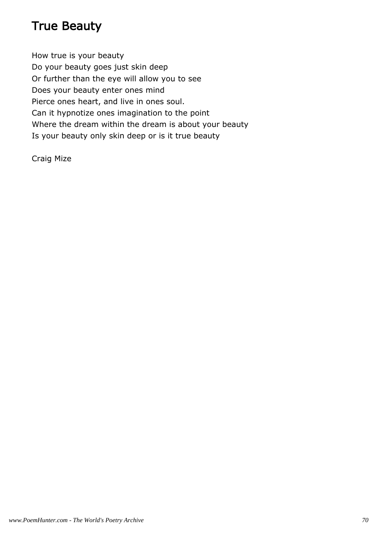### True Beauty

How true is your beauty Do your beauty goes just skin deep Or further than the eye will allow you to see Does your beauty enter ones mind Pierce ones heart, and live in ones soul. Can it hypnotize ones imagination to the point Where the dream within the dream is about your beauty Is your beauty only skin deep or is it true beauty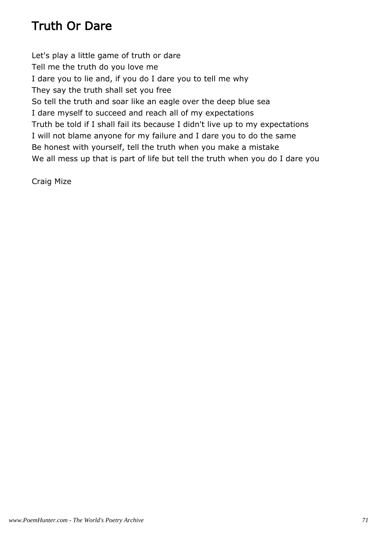## Truth Or Dare

Let's play a little game of truth or dare Tell me the truth do you love me I dare you to lie and, if you do I dare you to tell me why They say the truth shall set you free So tell the truth and soar like an eagle over the deep blue sea I dare myself to succeed and reach all of my expectations Truth be told if I shall fail its because I didn't live up to my expectations I will not blame anyone for my failure and I dare you to do the same Be honest with yourself, tell the truth when you make a mistake We all mess up that is part of life but tell the truth when you do I dare you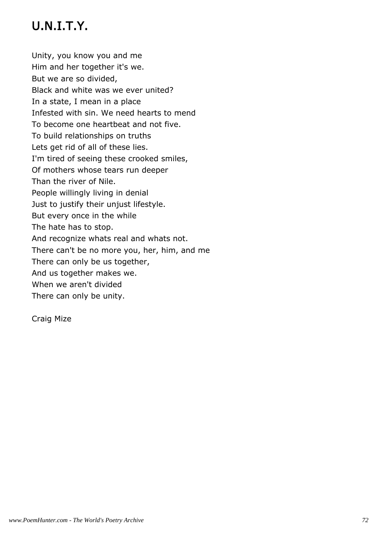## U.N.I.T.Y.

Unity, you know you and me Him and her together it's we. But we are so divided, Black and white was we ever united? In a state, I mean in a place Infested with sin. We need hearts to mend To become one heartbeat and not five. To build relationships on truths Lets get rid of all of these lies. I'm tired of seeing these crooked smiles, Of mothers whose tears run deeper Than the river of Nile. People willingly living in denial Just to justify their unjust lifestyle. But every once in the while The hate has to stop. And recognize whats real and whats not. There can't be no more you, her, him, and me There can only be us together, And us together makes we. When we aren't divided There can only be unity.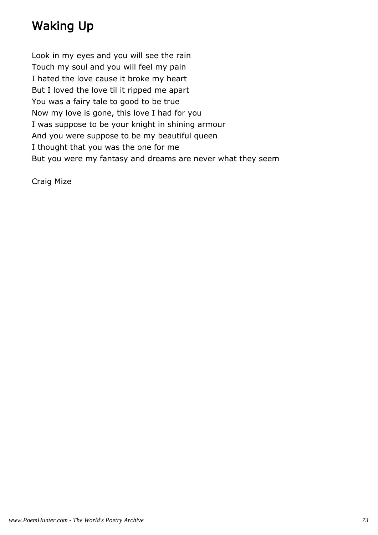## Waking Up

Look in my eyes and you will see the rain Touch my soul and you will feel my pain I hated the love cause it broke my heart But I loved the love til it ripped me apart You was a fairy tale to good to be true Now my love is gone, this love I had for you I was suppose to be your knight in shining armour And you were suppose to be my beautiful queen I thought that you was the one for me But you were my fantasy and dreams are never what they seem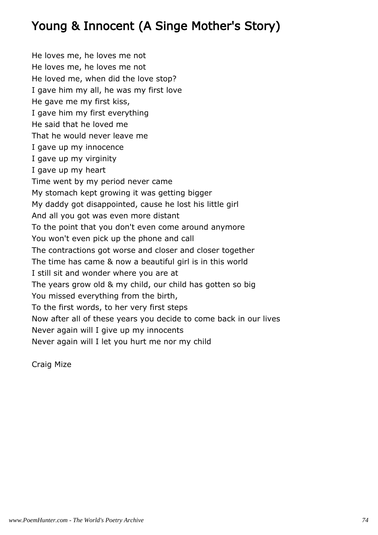## Young & Innocent (A Singe Mother's Story)

He loves me, he loves me not He loves me, he loves me not He loved me, when did the love stop? I gave him my all, he was my first love He gave me my first kiss, I gave him my first everything He said that he loved me That he would never leave me I gave up my innocence I gave up my virginity I gave up my heart Time went by my period never came My stomach kept growing it was getting bigger My daddy got disappointed, cause he lost his little girl And all you got was even more distant To the point that you don't even come around anymore You won't even pick up the phone and call The contractions got worse and closer and closer together The time has came & now a beautiful girl is in this world I still sit and wonder where you are at The years grow old & my child, our child has gotten so big You missed everything from the birth, To the first words, to her very first steps Now after all of these years you decide to come back in our lives Never again will I give up my innocents Never again will I let you hurt me nor my child